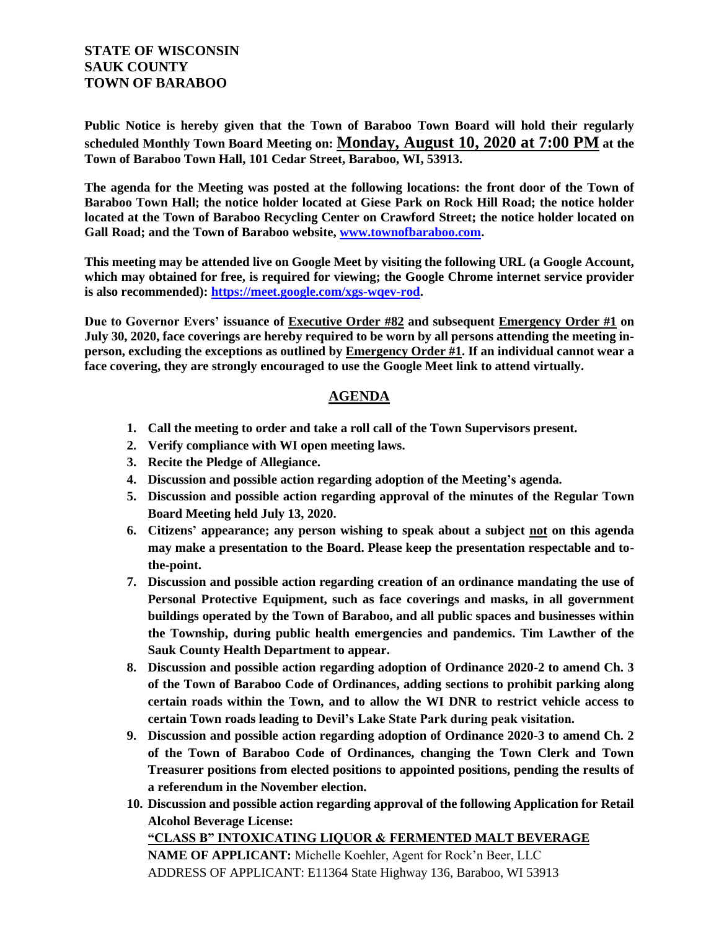## **STATE OF WISCONSIN SAUK COUNTY TOWN OF BARABOO**

**Public Notice is hereby given that the Town of Baraboo Town Board will hold their regularly scheduled Monthly Town Board Meeting on: Monday, August 10, 2020 at 7:00 PM at the Town of Baraboo Town Hall, 101 Cedar Street, Baraboo, WI, 53913.**

**The agenda for the Meeting was posted at the following locations: the front door of the Town of Baraboo Town Hall; the notice holder located at Giese Park on Rock Hill Road; the notice holder located at the Town of Baraboo Recycling Center on Crawford Street; the notice holder located on Gall Road; and the Town of Baraboo website, www.townofbaraboo.com.**

**This meeting may be attended live on Google Meet by visiting the following URL (a Google Account, which may obtained for free, is required for viewing; the Google Chrome internet service provider is also recommended): https://meet.google.com/xgs-wqev-rod.**

**Due to Governor Evers' issuance of Executive Order #82 and subsequent Emergency Order #1 on July 30, 2020, face coverings are hereby required to be worn by all persons attending the meeting inperson, excluding the exceptions as outlined by Emergency Order #1. If an individual cannot wear a face covering, they are strongly encouraged to use the Google Meet link to attend virtually.**

## **AGENDA**

- **1. Call the meeting to order and take a roll call of the Town Supervisors present.**
- **2. Verify compliance with WI open meeting laws.**
- **3. Recite the Pledge of Allegiance.**
- **4. Discussion and possible action regarding adoption of the Meeting's agenda.**
- **5. Discussion and possible action regarding approval of the minutes of the Regular Town Board Meeting held July 13, 2020.**
- **6. Citizens' appearance; any person wishing to speak about a subject not on this agenda may make a presentation to the Board. Please keep the presentation respectable and tothe-point.**
- **7. Discussion and possible action regarding creation of an ordinance mandating the use of Personal Protective Equipment, such as face coverings and masks, in all government buildings operated by the Town of Baraboo, and all public spaces and businesses within the Township, during public health emergencies and pandemics. Tim Lawther of the Sauk County Health Department to appear.**
- **8. Discussion and possible action regarding adoption of Ordinance 2020-2 to amend Ch. 3 of the Town of Baraboo Code of Ordinances, adding sections to prohibit parking along certain roads within the Town, and to allow the WI DNR to restrict vehicle access to certain Town roads leading to Devil's Lake State Park during peak visitation.**
- **9. Discussion and possible action regarding adoption of Ordinance 2020-3 to amend Ch. 2 of the Town of Baraboo Code of Ordinances, changing the Town Clerk and Town Treasurer positions from elected positions to appointed positions, pending the results of a referendum in the November election.**
- **10. Discussion and possible action regarding approval of the following Application for Retail Alcohol Beverage License: "CLASS B" INTOXICATING LIQUOR & FERMENTED MALT BEVERAGE**

**NAME OF APPLICANT:** Michelle Koehler, Agent for Rock'n Beer, LLC ADDRESS OF APPLICANT: E11364 State Highway 136, Baraboo, WI 53913